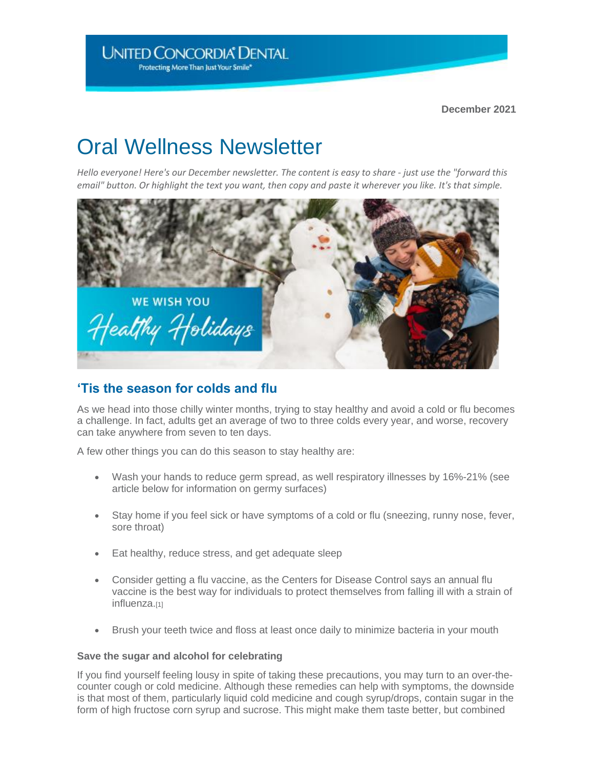**December 2021** 

# Oral Wellness Newsletter

*Hello everyone! Here's our December newsletter. The content is easy to share - just use the "forward this email" button. Or highlight the text you want, then copy and paste it wherever you like. It's that simple.*



## **'Tis the season for colds and flu**

As we head into those chilly winter months, trying to stay healthy and avoid a cold or flu becomes a challenge. In fact, adults get an average of two to three colds every year, and worse, recovery can take anywhere from seven to ten days.

A few other things you can do this season to stay healthy are:

- Wash your hands to reduce germ spread, as well respiratory illnesses by 16%-21% (see article below for information on germy surfaces)
- Stay home if you feel sick or have symptoms of a cold or flu (sneezing, runny nose, fever, sore throat)
- Eat healthy, reduce stress, and get adequate sleep
- Consider getting a flu vaccine, as the Centers for Disease Control says an annual flu vaccine is the best way for individuals to protect themselves from falling ill with a strain of influenza.[1]
- Brush your teeth twice and floss at least once daily to minimize bacteria in your mouth

#### **Save the sugar and alcohol for celebrating**

If you find yourself feeling lousy in spite of taking these precautions, you may turn to an over-thecounter cough or cold medicine. Although these remedies can help with symptoms, the downside is that most of them, particularly liquid cold medicine and cough syrup/drops, contain sugar in the form of high fructose corn syrup and sucrose. This might make them taste better, but combined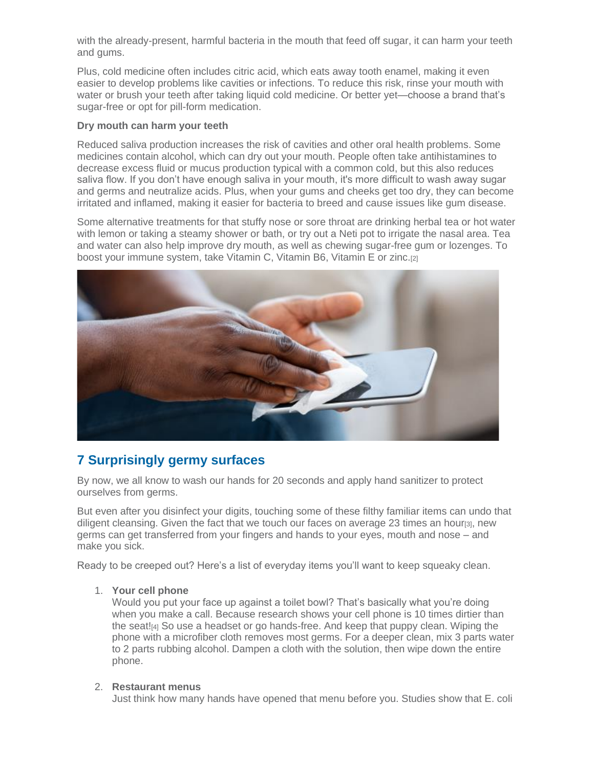with the already-present, harmful bacteria in the mouth that feed off sugar, it can harm your teeth and gums.

Plus, cold medicine often includes citric acid, which eats away tooth enamel, making it even easier to develop problems like cavities or infections. To reduce this risk, rinse your mouth with water or brush your teeth after taking liquid cold medicine. Or better yet—choose a brand that's sugar-free or opt for pill-form medication.

#### **Dry mouth can harm your teeth**

Reduced saliva production increases the risk of cavities and other oral health problems. Some medicines contain alcohol, which can dry out your mouth. People often take antihistamines to decrease excess fluid or mucus production typical with a common cold, but this also reduces saliva flow. If you don't have enough saliva in your mouth, it's more difficult to wash away sugar and germs and neutralize acids. Plus, when your gums and cheeks get too dry, they can become irritated and inflamed, making it easier for bacteria to breed and cause issues like gum disease.

Some alternative treatments for that stuffy nose or sore throat are drinking herbal tea or hot water with lemon or taking a steamy shower or bath, or try out a Neti pot to irrigate the nasal area. Tea and water can also help improve dry mouth, as well as chewing sugar-free gum or lozenges. To boost your immune system, take Vitamin C, Vitamin B6, Vitamin E or zinc.[2]



## **7 Surprisingly germy surfaces**

By now, we all know to wash our hands for 20 seconds and apply hand sanitizer to protect ourselves from germs.

But even after you disinfect your digits, touching some of these filthy familiar items can undo that diligent cleansing. Given the fact that we touch our faces on average 23 times an hour[3], new germs can get transferred from your fingers and hands to your eyes, mouth and nose – and make you sick.

Ready to be creeped out? Here's a list of everyday items you'll want to keep squeaky clean.

#### 1. **Your cell phone**

Would you put your face up against a toilet bowl? That's basically what you're doing when you make a call. Because research shows your cell phone is 10 times dirtier than the seat![4] So use a headset or go hands-free. And keep that puppy clean. Wiping the phone with a microfiber cloth removes most germs. For a deeper clean, mix 3 parts water to 2 parts rubbing alcohol. Dampen a cloth with the solution, then wipe down the entire phone.

#### 2. **Restaurant menus**

Just think how many hands have opened that menu before you. Studies show that E. coli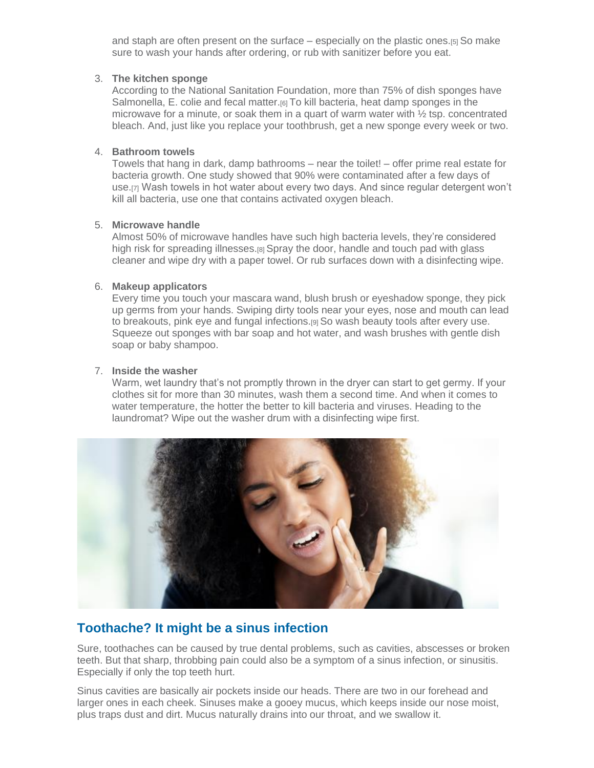and staph are often present on the surface – especially on the plastic ones.[5] So make sure to wash your hands after ordering, or rub with sanitizer before you eat.

#### 3. **The kitchen sponge**

According to the National Sanitation Foundation, more than 75% of dish sponges have Salmonella, E. colie and fecal matter.[6] To kill bacteria, heat damp sponges in the microwave for a minute, or soak them in a quart of warm water with  $\frac{1}{2}$  tsp. concentrated bleach. And, just like you replace your toothbrush, get a new sponge every week or two.

#### 4. **Bathroom towels**

Towels that hang in dark, damp bathrooms – near the toilet! – offer prime real estate for bacteria growth. One study showed that 90% were contaminated after a few days of use.[7] Wash towels in hot water about every two days. And since regular detergent won't kill all bacteria, use one that contains activated oxygen bleach.

#### 5. **Microwave handle**

Almost 50% of microwave handles have such high bacteria levels, they're considered high risk for spreading illnesses.<sup>[8]</sup> Spray the door, handle and touch pad with glass cleaner and wipe dry with a paper towel. Or rub surfaces down with a disinfecting wipe.

#### 6. **Makeup applicators**

Every time you touch your mascara wand, blush brush or eyeshadow sponge, they pick up germs from your hands. Swiping dirty tools near your eyes, nose and mouth can lead to breakouts, pink eye and fungal infections.[9] So wash beauty tools after every use. Squeeze out sponges with bar soap and hot water, and wash brushes with gentle dish soap or baby shampoo.

#### 7. **Inside the washer**

Warm, wet laundry that's not promptly thrown in the dryer can start to get germy. If your clothes sit for more than 30 minutes, wash them a second time. And when it comes to water temperature, the hotter the better to kill bacteria and viruses. Heading to the laundromat? Wipe out the washer drum with a disinfecting wipe first.



# **Toothache? It might be a sinus infection**

Sure, toothaches can be caused by true dental problems, such as cavities, abscesses or broken teeth. But that sharp, throbbing pain could also be a symptom of a sinus infection, or sinusitis. Especially if only the top teeth hurt.

Sinus cavities are basically air pockets inside our heads. There are two in our forehead and larger ones in each cheek. Sinuses make a gooey mucus, which keeps inside our nose moist, plus traps dust and dirt. Mucus naturally drains into our throat, and we swallow it.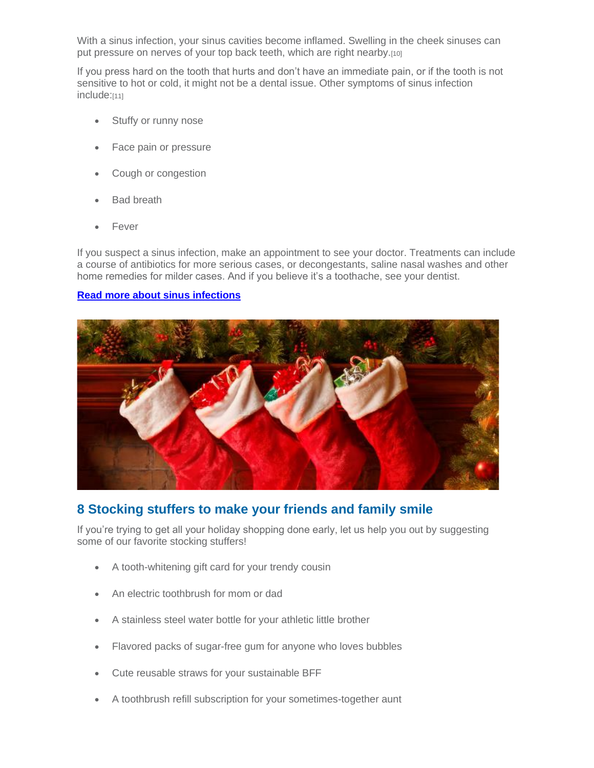With a sinus infection, your sinus cavities become inflamed. Swelling in the cheek sinuses can put pressure on nerves of your top back teeth, which are right nearby.[10]

If you press hard on the tooth that hurts and don't have an immediate pain, or if the tooth is not sensitive to hot or cold, it might not be a dental issue. Other symptoms of sinus infection include:[11]

- Stuffy or runny nose
- Face pain or pressure
- Cough or congestion
- **Bad breath**
- Fever

If you suspect a sinus infection, make an appointment to see your doctor. Treatments can include a course of antibiotics for more serious cases, or decongestants, saline nasal washes and other home remedies for milder cases. And if you believe it's a toothache, see your dentist.

#### **[Read more about sinus infections](https://nam10.safelinks.protection.outlook.com/?url=http%3A%2F%2Fclick.email-unitedconcordia.com%2F%3Fqs%3D16d537acb3a77d629a2a42d59a911dec02059b3034a27474964cc173d9684276eb6c29f77be39b662d5b78f1acf0fc3e2c913ef5612b38ab&data=04%7C01%7Cjsorman%40dmc-tpa.com%7C9a7692af21724f6faa4408d9a905e8ab%7C206d821e487a4530bb1f73463b9435ac%7C0%7C0%7C637726665117865306%7CUnknown%7CTWFpbGZsb3d8eyJWIjoiMC4wLjAwMDAiLCJQIjoiV2luMzIiLCJBTiI6Ik1haWwiLCJXVCI6Mn0%3D%7C3000&sdata=CmKAc%2BG%2F%2FmUQ5AaSqCrFf55%2FDindwfsK2AvVoNS08%2Fs%3D&reserved=0)**



## **8 Stocking stuffers to make your friends and family smile**

If you're trying to get all your holiday shopping done early, let us help you out by suggesting some of our favorite stocking stuffers!

- A tooth-whitening gift card for your trendy cousin
- An electric toothbrush for mom or dad
- A stainless steel water bottle for your athletic little brother
- Flavored packs of sugar-free gum for anyone who loves bubbles
- Cute reusable straws for your sustainable BFF
- A toothbrush refill subscription for your sometimes-together aunt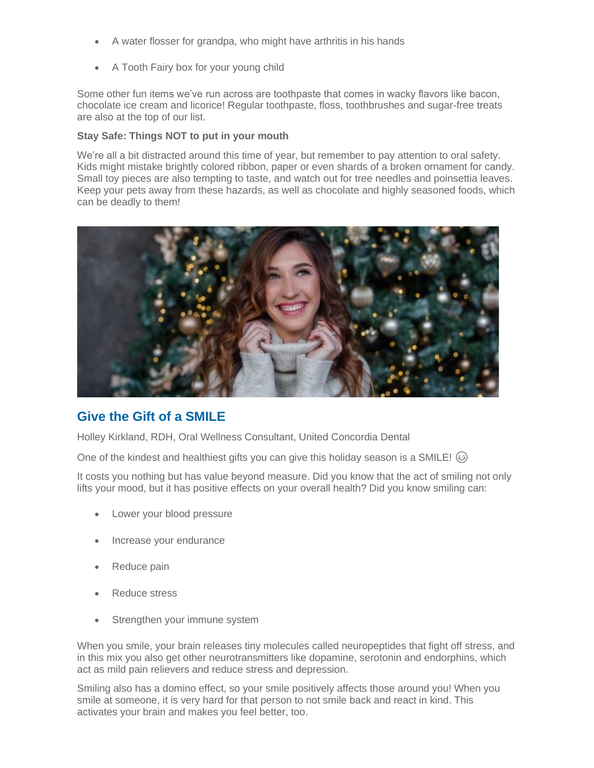- A water flosser for grandpa, who might have arthritis in his hands
- A Tooth Fairy box for your young child

Some other fun items we've run across are toothpaste that comes in wacky flavors like bacon, chocolate ice cream and licorice! Regular toothpaste, floss, toothbrushes and sugar-free treats are also at the top of our list.

#### **Stay Safe: Things NOT to put in your mouth**

We're all a bit distracted around this time of year, but remember to pay attention to oral safety. Kids might mistake brightly colored ribbon, paper or even shards of a broken ornament for candy. Small toy pieces are also tempting to taste, and watch out for tree needles and poinsettia leaves. Keep your pets away from these hazards, as well as chocolate and highly seasoned foods, which can be deadly to them!



## **Give the Gift of a SMILE**

Holley Kirkland, RDH, Oral Wellness Consultant, United Concordia Dental

One of the kindest and healthiest gifts you can give this holiday season is a SMILE!  $\circledcirc$ 

It costs you nothing but has value beyond measure. Did you know that the act of smiling not only lifts your mood, but it has positive effects on your overall health? Did you know smiling can:

- Lower your blood pressure
- Increase your endurance
- Reduce pain
- Reduce stress
- Strengthen your immune system

When you smile, your brain releases tiny molecules called neuropeptides that fight off stress, and in this mix you also get other neurotransmitters like dopamine, serotonin and endorphins, which act as mild pain relievers and reduce stress and depression.

Smiling also has a domino effect, so your smile positively affects those around you! When you smile at someone, it is very hard for that person to not smile back and react in kind. This activates your brain and makes you feel better, too.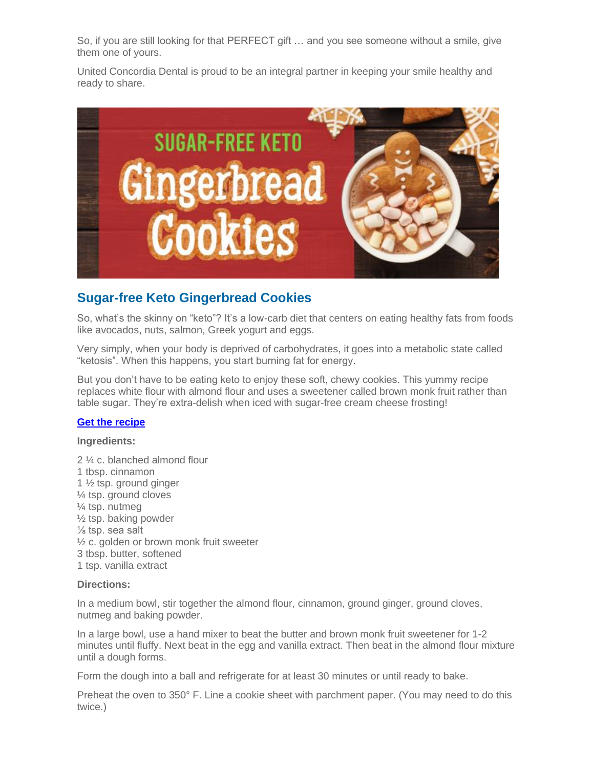So, if you are still looking for that PERFECT gift … and you see someone without a smile, give them one of yours.

United Concordia Dental is proud to be an integral partner in keeping your smile healthy and ready to share.



# **Sugar-free Keto Gingerbread Cookies**

So, what's the skinny on "keto"? It's a low-carb diet that centers on eating healthy fats from foods like avocados, nuts, salmon, Greek yogurt and eggs.

Very simply, when your body is deprived of carbohydrates, it goes into a metabolic state called "ketosis". When this happens, you start burning fat for energy.

But you don't have to be eating keto to enjoy these soft, chewy cookies. This yummy recipe replaces white flour with almond flour and uses a sweetener called brown monk fruit rather than table sugar. They're extra-delish when iced with sugar-free cream cheese frosting!

#### **[Get the recipe](https://nam10.safelinks.protection.outlook.com/?url=http%3A%2F%2Fclick.email-unitedconcordia.com%2F%3Fqs%3D16d537acb3a77d62213152a7ed0d28d89f37e9e2b699ab2b8e783d75f025409f9ed3cdfd4c1339ed0f758146cf414de7f5dddccdd931da37&data=04%7C01%7Cjsorman%40dmc-tpa.com%7C9a7692af21724f6faa4408d9a905e8ab%7C206d821e487a4530bb1f73463b9435ac%7C0%7C0%7C637726665117875266%7CUnknown%7CTWFpbGZsb3d8eyJWIjoiMC4wLjAwMDAiLCJQIjoiV2luMzIiLCJBTiI6Ik1haWwiLCJXVCI6Mn0%3D%7C3000&sdata=7UGQK51tKSVmTP%2FpsHW4SN3lF%2FhF%2BlUURKfceG0Bhxs%3D&reserved=0)**

#### **Ingredients:**

2 ¼ c. blanched almond flour 1 tbsp. cinnamon 1 ½ tsp. ground ginger ¼ tsp. ground cloves ¼ tsp. nutmeg ½ tsp. baking powder ⅛ tsp. sea salt ½ c. golden or brown monk fruit sweeter 3 tbsp. butter, softened 1 tsp. vanilla extract

#### **Directions:**

In a medium bowl, stir together the almond flour, cinnamon, ground ginger, ground cloves, nutmeg and baking powder.

In a large bowl, use a hand mixer to beat the butter and brown monk fruit sweetener for 1-2 minutes until fluffy. Next beat in the egg and vanilla extract. Then beat in the almond flour mixture until a dough forms.

Form the dough into a ball and refrigerate for at least 30 minutes or until ready to bake.

Preheat the oven to 350° F. Line a cookie sheet with parchment paper. (You may need to do this twice.)